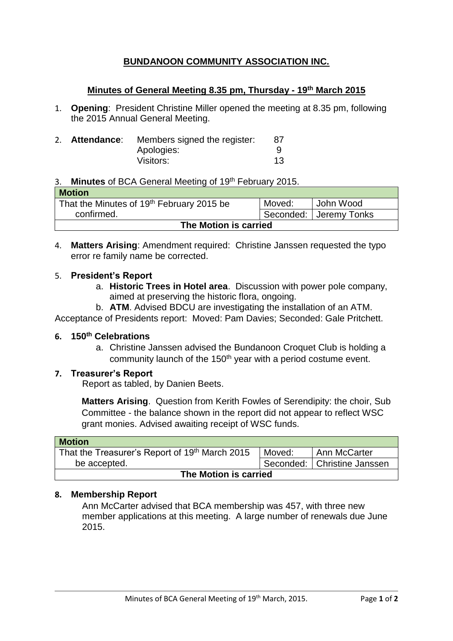# **BUNDANOON COMMUNITY ASSOCIATION INC.**

### **Minutes of General Meeting 8.35 pm, Thursday - 19th March 2015**

1. **Opening**: President Christine Miller opened the meeting at 8.35 pm, following the 2015 Annual General Meeting.

|  | 2. Attendance: | Members signed the register: |    |
|--|----------------|------------------------------|----|
|  |                | Apologies:                   |    |
|  |                | Visitors:                    | 13 |

### 3. **Minutes** of BCA General Meeting of 19th February 2015.

| <b>Motion</b>                                         |        |                        |  |  |  |
|-------------------------------------------------------|--------|------------------------|--|--|--|
| That the Minutes of 19 <sup>th</sup> February 2015 be | Moved: | l John Wood            |  |  |  |
| confirmed.                                            |        | Seconded: Jeremy Tonks |  |  |  |
| The Motion is carried                                 |        |                        |  |  |  |

4. **Matters Arising**: Amendment required:Christine Janssen requested the typo error re family name be corrected.

#### 5. **President's Report**

- a. **Historic Trees in Hotel area**. Discussion with power pole company, aimed at preserving the historic flora, ongoing.
- b. **ATM**. Advised BDCU are investigating the installation of an ATM.

Acceptance of Presidents report: Moved: Pam Davies; Seconded: Gale Pritchett.

#### **6. 150th Celebrations**

a. Christine Janssen advised the Bundanoon Croquet Club is holding a community launch of the 150<sup>th</sup> year with a period costume event.

#### **7. Treasurer's Report**

Report as tabled, by Danien Beets.

**Matters Arising**. Question from Kerith Fowles of Serendipity: the choir, Sub Committee - the balance shown in the report did not appear to reflect WSC grant monies. Advised awaiting receipt of WSC funds.

| <b>Motion</b>                                  |        |                               |  |  |  |
|------------------------------------------------|--------|-------------------------------|--|--|--|
| That the Treasurer's Report of 19th March 2015 | Moved: | Ann McCarter                  |  |  |  |
| be accepted.                                   |        | Seconded:   Christine Janssen |  |  |  |
| The Motion is carried                          |        |                               |  |  |  |

#### **8. Membership Report**

Ann McCarter advised that BCA membership was 457, with three new member applications at this meeting. A large number of renewals due June 2015.